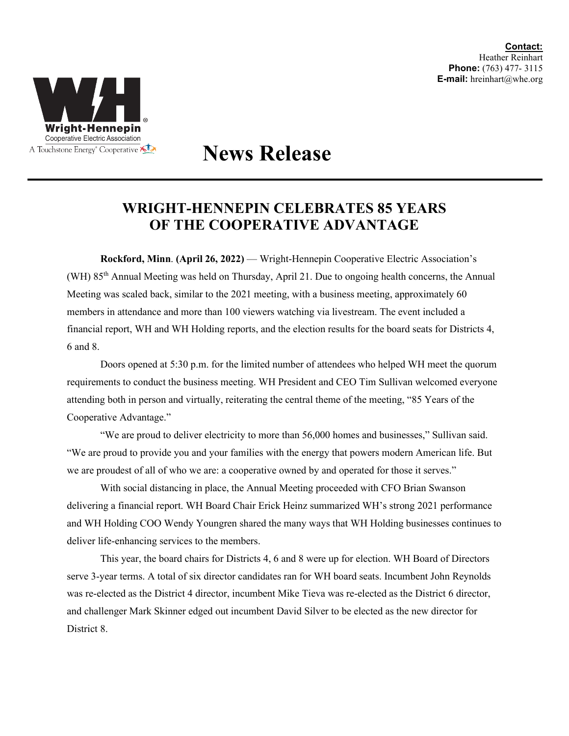

## **News Release**

## **WRIGHT-HENNEPIN CELEBRATES 85 YEARS OF THE COOPERATIVE ADVANTAGE**

**Rockford, Minn**. **(April 26, 2022)** — Wright-Hennepin Cooperative Electric Association's (WH) 85th Annual Meeting was held on Thursday, April 21. Due to ongoing health concerns, the Annual Meeting was scaled back, similar to the 2021 meeting, with a business meeting, approximately 60 members in attendance and more than 100 viewers watching via livestream. The event included a financial report, WH and WH Holding reports, and the election results for the board seats for Districts 4, 6 and 8.

Doors opened at 5:30 p.m. for the limited number of attendees who helped WH meet the quorum requirements to conduct the business meeting. WH President and CEO Tim Sullivan welcomed everyone attending both in person and virtually, reiterating the central theme of the meeting, "85 Years of the Cooperative Advantage."

"We are proud to deliver electricity to more than 56,000 homes and businesses," Sullivan said. "We are proud to provide you and your families with the energy that powers modern American life. But we are proudest of all of who we are: a cooperative owned by and operated for those it serves."

With social distancing in place, the Annual Meeting proceeded with CFO Brian Swanson delivering a financial report. WH Board Chair Erick Heinz summarized WH's strong 2021 performance and WH Holding COO Wendy Youngren shared the many ways that WH Holding businesses continues to deliver life-enhancing services to the members.

This year, the board chairs for Districts 4, 6 and 8 were up for election. WH Board of Directors serve 3-year terms. A total of six director candidates ran for WH board seats. Incumbent John Reynolds was re-elected as the District 4 director, incumbent Mike Tieva was re-elected as the District 6 director, and challenger Mark Skinner edged out incumbent David Silver to be elected as the new director for District 8.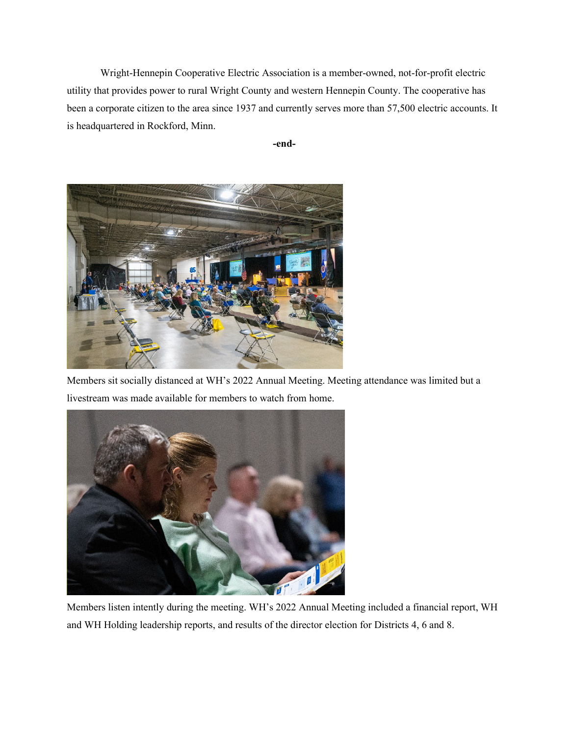Wright-Hennepin Cooperative Electric Association is a member-owned, not-for-profit electric utility that provides power to rural Wright County and western Hennepin County. The cooperative has been a corporate citizen to the area since 1937 and currently serves more than 57,500 electric accounts. It is headquartered in Rockford, Minn.





Members sit socially distanced at WH's 2022 Annual Meeting. Meeting attendance was limited but a livestream was made available for members to watch from home.



Members listen intently during the meeting. WH's 2022 Annual Meeting included a financial report, WH and WH Holding leadership reports, and results of the director election for Districts 4, 6 and 8.